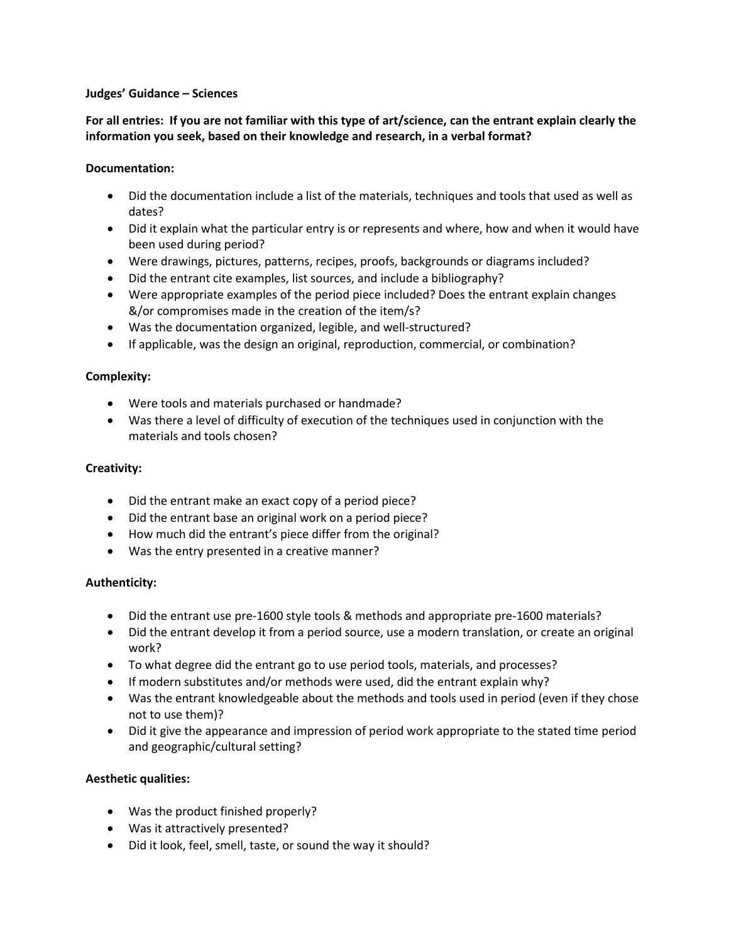#### **Judges' Guidance – Sciences**

**For all entries: If you are not familiar with this type of art/science, can the entrant explain clearly the information you seek, based on their knowledge and research, in a verbal format?** 

## **Documentation:**

- Did the documentation include a list of the materials, techniques and tools that used as well as dates?
- Did it explain what the particular entry is or represents and where, how and when it would have been used during period?
- Were drawings, pictures, patterns, recipes, proofs, backgrounds or diagrams included?
- Did the entrant cite examples, list sources, and include a bibliography?
- Were appropriate examples of the period piece included? Does the entrant explain changes &/or compromises made in the creation of the item/s?
- Was the documentation organized, legible, and well-structured?
- If applicable, was the design an original, reproduction, commercial, or combination?

## **Complexity:**

- Were tools and materials purchased or handmade?
- Was there a level of difficulty of execution of the techniques used in conjunction with the materials and tools chosen?

## **Creativity:**

- Did the entrant make an exact copy of a period piece?
- Did the entrant base an original work on a period piece?
- How much did the entrant's piece differ from the original?
- Was the entry presented in a creative manner?

# **Authenticity:**

- Did the entrant use pre-1600 style tools & methods and appropriate pre-1600 materials?
- Did the entrant develop it from a period source, use a modern translation, or create an original work?
- To what degree did the entrant go to use period tools, materials, and processes?
- If modern substitutes and/or methods were used, did the entrant explain why?
- Was the entrant knowledgeable about the methods and tools used in period (even if they chose not to use them)?
- Did it give the appearance and impression of period work appropriate to the stated time period and geographic/cultural setting?

# **Aesthetic qualities:**

- Was the product finished properly?
- Was it attractively presented?
- Did it look, feel, smell, taste, or sound the way it should?